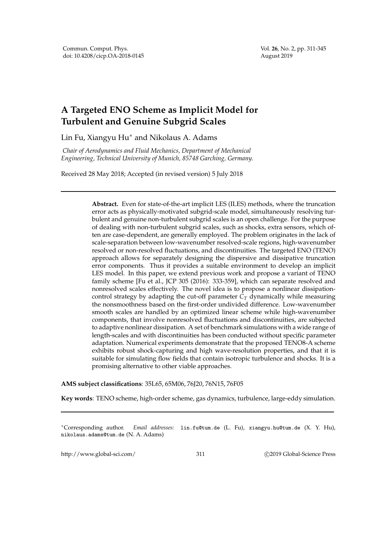Vol. **26**, No. 2, pp. 311-345 August 2019

## **A Targeted ENO Scheme as Implicit Model for Turbulent and Genuine Subgrid Scales**

Lin Fu, Xiangyu Hu∗ and Nikolaus A. Adams

*Chair of Aerodynamics and Fluid Mechanics, Department of Mechanical Engineering, Technical University of Munich, 85748 Garching, Germany.*

Received 28 May 2018; Accepted (in revised version) 5 July 2018

**Abstract.** Even for state-of-the-art implicit LES (ILES) methods, where the truncation error acts as physically-motivated subgrid-scale model, simultaneously resolving turbulent and genuine non-turbulent subgrid scales is an open challenge. For the purpose of dealing with non-turbulent subgrid scales, such as shocks, extra sensors, which often are case-dependent, are generally employed. The problem originates in the lack of scale-separation between low-wavenumber resolved-scale regions, high-wavenumber resolved or non-resolved fluctuations, and discontinuities. The targeted ENO (TENO) approach allows for separately designing the dispersive and dissipative truncation error components. Thus it provides a suitable environment to develop an implicit LES model. In this paper, we extend previous work and propose a variant of TENO family scheme [Fu et al., JCP 305 (2016): 333-359], which can separate resolved and nonresolved scales effectively. The novel idea is to propose a nonlinear dissipationcontrol strategy by adapting the cut-off parameter  $C_T$  dynamically while measuring the nonsmoothness based on the first-order undivided difference. Low-wavenumber smooth scales are handled by an optimized linear scheme while high-wavenumber components, that involve nonresolved fluctuations and discontinuities, are subjected to adaptive nonlinear dissipation. A set of benchmark simulations with a wide range of length-scales and with discontinuities has been conducted without specific parameter adaptation. Numerical experiments demonstrate that the proposed TENO8-A scheme exhibits robust shock-capturing and high wave-resolution properties, and that it is suitable for simulating flow fields that contain isotropic turbulence and shocks. It is a promising alternative to other viable approaches.

**AMS subject classifications**: 35L65, 65M06, 76J20, 76N15, 76F05

**Key words**: TENO scheme, high-order scheme, gas dynamics, turbulence, large-eddy simulation.

∗Corresponding author. *Email addresses:* lin.fu@tum.de (L. Fu), xiangyu.hu@tum.de (X. Y. Hu), nikolaus.adams@tum.de (N. A. Adams)

http://www.global-sci.com/ 311 c 2019 Global-Science Press